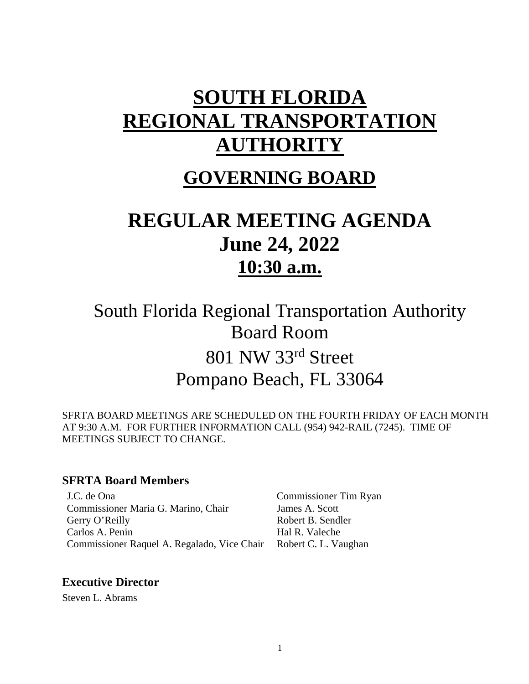# **SOUTH FLORIDA REGIONAL TRANSPORTATION AUTHORITY**

# **GOVERNING BOARD**

# **REGULAR MEETING AGENDA June 24, 2022 10:30 a.m.**

South Florida Regional Transportation Authority Board Room 801 NW 33rd Street Pompano Beach, FL 33064

SFRTA BOARD MEETINGS ARE SCHEDULED ON THE FOURTH FRIDAY OF EACH MONTH AT 9:30 A.M. FOR FURTHER INFORMATION CALL (954) 942-RAIL (7245). TIME OF MEETINGS SUBJECT TO CHANGE.

#### **SFRTA Board Members**

J.C. de Ona Commissioner Tim Ryan Commissioner Maria G. Marino, Chair James A. Scott Gerry O'Reilly Robert B. Sendler Carlos A. Penin Hal R. Valeche Commissioner Raquel A. Regalado, Vice Chair Robert C. L. Vaughan

#### **Executive Director**

Steven L. Abrams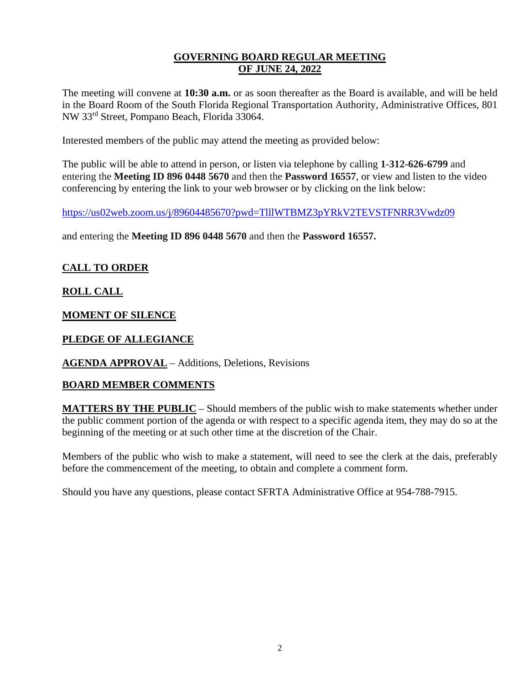#### **GOVERNING BOARD REGULAR MEETING OF JUNE 24, 2022**

The meeting will convene at **10:30 a.m.** or as soon thereafter as the Board is available, and will be held in the Board Room of the South Florida Regional Transportation Authority, Administrative Offices, 801 NW 33rd Street, Pompano Beach, Florida 33064.

Interested members of the public may attend the meeting as provided below:

The public will be able to attend in person, or listen via telephone by calling **1-312-626-6799** and entering the **Meeting ID 896 0448 5670** and then the **Password 16557**, or view and listen to the video conferencing by entering the link to your web browser or by clicking on the link below:

<https://us02web.zoom.us/j/89604485670?pwd=TlllWTBMZ3pYRkV2TEVSTFNRR3Vwdz09>

and entering the **Meeting ID 896 0448 5670** and then the **Password 16557.**

#### **CALL TO ORDER**

#### **ROLL CALL**

#### **MOMENT OF SILENCE**

#### **PLEDGE OF ALLEGIANCE**

#### **AGENDA APPROVAL** – Additions, Deletions, Revisions

#### **BOARD MEMBER COMMENTS**

**MATTERS BY THE PUBLIC** – Should members of the public wish to make statements whether under the public comment portion of the agenda or with respect to a specific agenda item, they may do so at the beginning of the meeting or at such other time at the discretion of the Chair.

Members of the public who wish to make a statement, will need to see the clerk at the dais, preferably before the commencement of the meeting, to obtain and complete a comment form.

Should you have any questions, please contact SFRTA Administrative Office at 954-788-7915.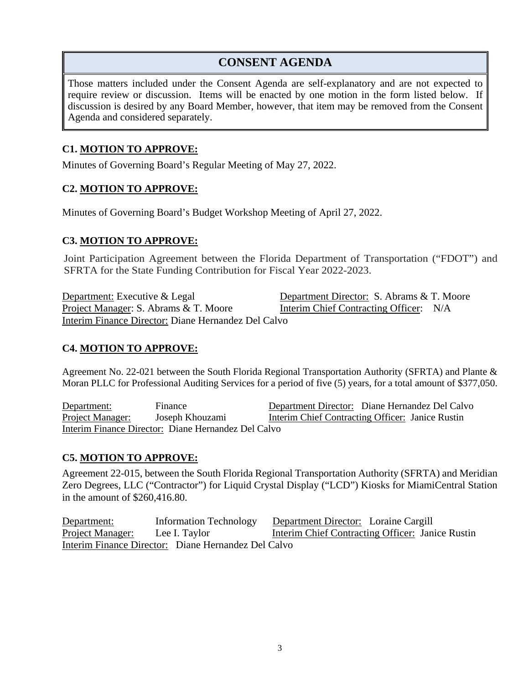### **CONSENT AGENDA**

Those matters included under the Consent Agenda are self-explanatory and are not expected to require review or discussion. Items will be enacted by one motion in the form listed below. If discussion is desired by any Board Member, however, that item may be removed from the Consent Agenda and considered separately.

#### **C1. MOTION TO APPROVE:**

Minutes of Governing Board's Regular Meeting of May 27, 2022.

#### **C2. MOTION TO APPROVE:**

Minutes of Governing Board's Budget Workshop Meeting of April 27, 2022.

#### **C3. MOTION TO APPROVE:**

Joint Participation Agreement between the Florida Department of Transportation ("FDOT") and SFRTA for the State Funding Contribution for Fiscal Year 2022-2023.

Department: Executive & Legal Department Director: S. Abrams & T. Moore Project Manager: S. Abrams & T. Moore Interim Chief Contracting Officer: N/A Interim Finance Director: Diane Hernandez Del Calvo

#### **C4. MOTION TO APPROVE:**

Agreement No. 22-021 between the South Florida Regional Transportation Authority (SFRTA) and Plante & Moran PLLC for Professional Auditing Services for a period of five (5) years, for a total amount of \$377,050.

Department: Finance Department Director: Diane Hernandez Del Calvo Project Manager: Joseph Khouzami Interim Chief Contracting Officer: Janice Rustin Interim Finance Director: Diane Hernandez Del Calvo

#### **C5. MOTION TO APPROVE:**

Agreement 22-015, between the South Florida Regional Transportation Authority (SFRTA) and Meridian Zero Degrees, LLC ("Contractor") for Liquid Crystal Display ("LCD") Kiosks for MiamiCentral Station in the amount of \$260,416.80.

Department: Information Technology Department Director: Loraine Cargill Project Manager: Lee I. Taylor Interim Chief Contracting Officer: Janice Rustin Interim Finance Director: Diane Hernandez Del Calvo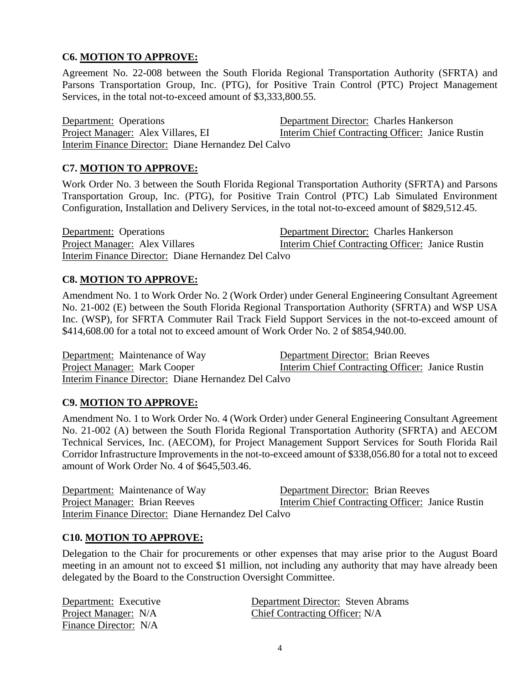#### **C6. MOTION TO APPROVE:**

Agreement No. 22-008 between the South Florida Regional Transportation Authority (SFRTA) and Parsons Transportation Group, Inc. (PTG), for Positive Train Control (PTC) Project Management Services, in the total not-to-exceed amount of \$3,333,800.55.

Department: Operations Department Director: Charles Hankerson Project Manager: Alex Villares, EI Interim Chief Contracting Officer: Janice Rustin Interim Finance Director: Diane Hernandez Del Calvo

#### **C7. MOTION TO APPROVE:**

Work Order No. 3 between the South Florida Regional Transportation Authority (SFRTA) and Parsons Transportation Group, Inc. (PTG), for Positive Train Control (PTC) Lab Simulated Environment Configuration, Installation and Delivery Services, in the total not-to-exceed amount of \$829,512.45.

Department: Operations Department Director: Charles Hankerson Project Manager: Alex Villares Interim Chief Contracting Officer: Janice Rustin Interim Finance Director: Diane Hernandez Del Calvo

#### **C8. MOTION TO APPROVE:**

Amendment No. 1 to Work Order No. 2 (Work Order) under General Engineering Consultant Agreement No. 21-002 (E) between the South Florida Regional Transportation Authority (SFRTA) and WSP USA Inc. (WSP), for SFRTA Commuter Rail Track Field Support Services in the not-to-exceed amount of \$414,608.00 for a total not to exceed amount of Work Order No. 2 of \$854,940.00.

Department: Maintenance of Way Department Director: Brian Reeves Project Manager: Mark Cooper Interim Chief Contracting Officer: Janice Rustin Interim Finance Director: Diane Hernandez Del Calvo

#### **C9. MOTION TO APPROVE:**

Amendment No. 1 to Work Order No. 4 (Work Order) under General Engineering Consultant Agreement No. 21-002 (A) between the South Florida Regional Transportation Authority (SFRTA) and AECOM Technical Services, Inc. (AECOM), for Project Management Support Services for South Florida Rail Corridor Infrastructure Improvements in the not-to-exceed amount of \$338,056.80 for a total not to exceed amount of Work Order No. 4 of \$645,503.46.

Department: Maintenance of Way Department Director: Brian Reeves Project Manager: Brian Reeves Interim Chief Contracting Officer: Janice Rustin Interim Finance Director: Diane Hernandez Del Calvo

#### **C10. MOTION TO APPROVE:**

Delegation to the Chair for procurements or other expenses that may arise prior to the August Board meeting in an amount not to exceed \$1 million, not including any authority that may have already been delegated by the Board to the Construction Oversight Committee.

| Department: Executive | Department Director: Steven Abrams |
|-----------------------|------------------------------------|
| Project Manager: N/A  | Chief Contracting Officer: N/A     |
| Finance Director: N/A |                                    |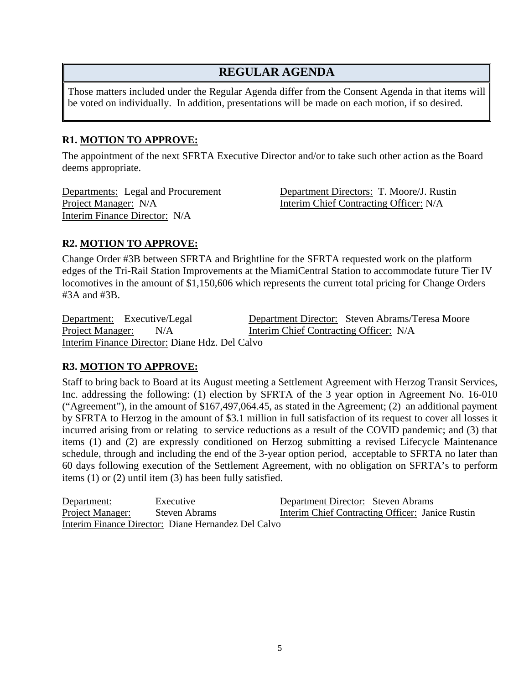## **REGULAR AGENDA**

Those matters included under the Regular Agenda differ from the Consent Agenda in that items will be voted on individually. In addition, presentations will be made on each motion, if so desired.

#### **R1. MOTION TO APPROVE:**

The appointment of the next SFRTA Executive Director and/or to take such other action as the Board deems appropriate.

Interim Finance Director: N/A

Departments: Legal and Procurement Department Directors: T. Moore/J. Rustin Project Manager: N/A Interim Chief Contracting Officer: N/A

#### **R2. MOTION TO APPROVE:**

Change Order #3B between SFRTA and Brightline for the SFRTA requested work on the platform edges of the Tri-Rail Station Improvements at the MiamiCentral Station to accommodate future Tier IV locomotives in the amount of \$1,150,606 which represents the current total pricing for Change Orders #3A and #3B.

Department: Executive/Legal Department Director: Steven Abrams/Teresa Moore Project Manager: N/A Interim Chief Contracting Officer: N/A Interim Finance Director: Diane Hdz. Del Calvo

#### **R3. MOTION TO APPROVE:**

Staff to bring back to Board at its August meeting a Settlement Agreement with Herzog Transit Services, Inc. addressing the following: (1) election by SFRTA of the 3 year option in Agreement No. 16-010 ("Agreement"), in the amount of \$167,497,064.45, as stated in the Agreement; (2) an additional payment by SFRTA to Herzog in the amount of \$3.1 million in full satisfaction of its request to cover all losses it incurred arising from or relating to service reductions as a result of the COVID pandemic; and (3) that items (1) and (2) are expressly conditioned on Herzog submitting a revised Lifecycle Maintenance schedule, through and including the end of the 3-year option period, acceptable to SFRTA no later than 60 days following execution of the Settlement Agreement, with no obligation on SFRTA's to perform items (1) or (2) until item (3) has been fully satisfied.

Department: Executive Department Director: Steven Abrams Project Manager: Steven Abrams Interim Chief Contracting Officer: Janice Rustin Interim Finance Director: Diane Hernandez Del Calvo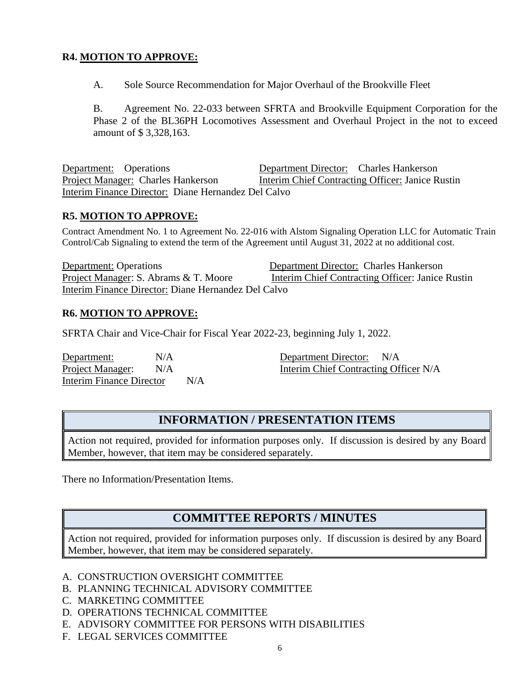#### **R4. MOTION TO APPROVE:**

A. Sole Source Recommendation for Major Overhaul of the Brookville Fleet

B. Agreement No. 22-033 between SFRTA and Brookville Equipment Corporation for the Phase 2 of the BL36PH Locomotives Assessment and Overhaul Project in the not to exceed amount of \$ 3,328,163.

Department: Operations Department Director: Charles Hankerson Project Manager: Charles Hankerson Interim Chief Contracting Officer: Janice Rustin Interim Finance Director: Diane Hernandez Del Calvo

#### **R5. MOTION TO APPROVE:**

Contract Amendment No. 1 to Agreement No. 22-016 with Alstom Signaling Operation LLC for Automatic Train Control/Cab Signaling to extend the term of the Agreement until August 31, 2022 at no additional cost.

**Department:** Operations Department Director: Charles Hankerson<br>Project Manager: S. Abrams & T. Moore Interim Chief Contracting Officer: Janice Interim Chief Contracting Officer: Janice Rustin Interim Finance Director: Diane Hernandez Del Calvo

#### **R6. MOTION TO APPROVE:**

SFRTA Chair and Vice-Chair for Fiscal Year 2022-23, beginning July 1, 2022.

Department: N/A Department Director: N/A Interim Finance Director N/A

Project Manager: N/A Interim Chief Contracting Officer N/A

#### **INFORMATION / PRESENTATION ITEMS**

Action not required, provided for information purposes only. If discussion is desired by any Board Member, however, that item may be considered separately.

There no Information/Presentation Items.

#### **COMMITTEE REPORTS / MINUTES**

Action not required, provided for information purposes only. If discussion is desired by any Board Member, however, that item may be considered separately.

- A. CONSTRUCTION OVERSIGHT COMMITTEE
- B. PLANNING TECHNICAL ADVISORY COMMITTEE
- C. MARKETING COMMITTEE
- D. OPERATIONS TECHNICAL COMMITTEE
- E. ADVISORY COMMITTEE FOR PERSONS WITH DISABILITIES
- F. LEGAL SERVICES COMMITTEE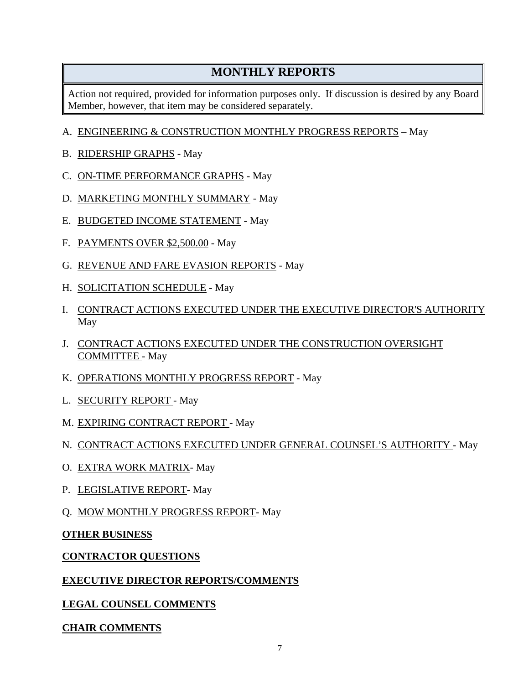## **MONTHLY REPORTS**

Action not required, provided for information purposes only. If discussion is desired by any Board Member, however, that item may be considered separately.

#### A. ENGINEERING & CONSTRUCTION MONTHLY PROGRESS REPORTS – May

- B. RIDERSHIP GRAPHS May
- C. ON-TIME PERFORMANCE GRAPHS May
- D. MARKETING MONTHLY SUMMARY May
- E. BUDGETED INCOME STATEMENT May
- F. PAYMENTS OVER \$2,500.00 May
- G. REVENUE AND FARE EVASION REPORTS May
- H. SOLICITATION SCHEDULE May
- I. CONTRACT ACTIONS EXECUTED UNDER THE EXECUTIVE DIRECTOR'S AUTHORITY May
- J. CONTRACT ACTIONS EXECUTED UNDER THE CONSTRUCTION OVERSIGHT COMMITTEE - May
- K. OPERATIONS MONTHLY PROGRESS REPORT May
- L. **SECURITY REPORT** May
- M. EXPIRING CONTRACT REPORT May
- N. CONTRACT ACTIONS EXECUTED UNDER GENERAL COUNSEL'S AUTHORITY May
- O. EXTRA WORK MATRIX- May
- P. LEGISLATIVE REPORT- May
- Q. MOW MONTHLY PROGRESS REPORT- May

#### **OTHER BUSINESS**

#### **CONTRACTOR QUESTIONS**

#### **EXECUTIVE DIRECTOR REPORTS/COMMENTS**

**LEGAL COUNSEL COMMENTS** 

#### **CHAIR COMMENTS**